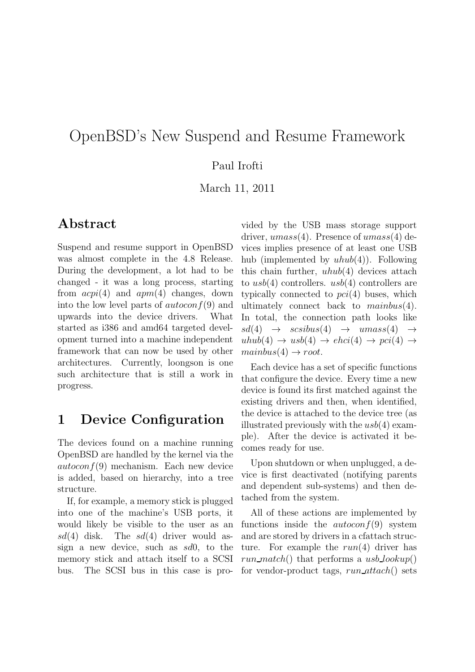# OpenBSD's New Suspend and Resume Framework

### Paul Irofti

March 11, 2011

### Abstract

Suspend and resume support in OpenBSD was almost complete in the 4.8 Release. During the development, a lot had to be changed - it was a long process, starting from  $acpi(4)$  and  $apm(4)$  changes, down into the low level parts of  $autoconf(9)$  and upwards into the device drivers. What started as i386 and amd64 targeted development turned into a machine independent framework that can now be used by other architectures. Currently, loongson is one such architecture that is still a work in progress.

### 1 Device Configuration

The devices found on a machine running OpenBSD are handled by the kernel via the  $autoconf(9)$  mechanism. Each new device is added, based on hierarchy, into a tree structure.

If, for example, a memory stick is plugged into one of the machine's USB ports, it would likely be visible to the user as an  $sd(4)$  disk. The  $sd(4)$  driver would assign a new device, such as sd0, to the memory stick and attach itself to a SCSI bus. The SCSI bus in this case is provided by the USB mass storage support driver,  $umass(4)$ . Presence of  $umass(4)$  devices implies presence of at least one USB hub (implemented by  $uhub(4)$ ). Following this chain further,  $uhub(4)$  devices attach to  $usb(4)$  controllers.  $usb(4)$  controllers are typically connected to  $pci(4)$  buses, which ultimately connect back to  $mainbus(4)$ . In total, the connection path looks like  $sd(4) \rightarrow scsibus(4) \rightarrow umass(4) \rightarrow$  $uhub(4) \rightarrow usb(4) \rightarrow e hci(4) \rightarrow pci(4) \rightarrow$  $mainbus(4) \rightarrow root.$ 

Each device has a set of specific functions that configure the device. Every time a new device is found its first matched against the existing drivers and then, when identified, the device is attached to the device tree (as illustrated previously with the  $usb(4)$  example). After the device is activated it becomes ready for use.

Upon shutdown or when unplugged, a device is first deactivated (notifying parents and dependent sub-systems) and then detached from the system.

All of these actions are implemented by functions inside the  $autoconf(9)$  system and are stored by drivers in a cfattach structure. For example the  $run(4)$  driver has run match() that performs a usb lookup() for vendor-product tags,  $run\_attack()$  sets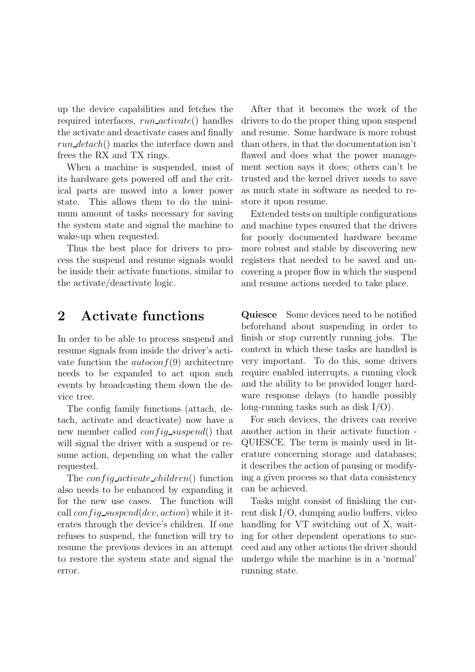up the device capabilities and fetches the required interfaces, run activate() handles the activate and deactivate cases and finally run detach() marks the interface down and frees the RX and TX rings.

When a machine is suspended, most of its hardware gets powered off and the critical parts are moved into a lower power state. This allows them to do the minimum amount of tasks necessary for saving the system state and signal the machine to wake-up when requested.

Thus the best place for drivers to process the suspend and resume signals would be inside their activate functions, similar to the activate/deactivate logic.

### 2 Activate functions

In order to be able to process suspend and resume signals from inside the driver's activate function the *autocon*  $f(9)$  architecture needs to be expanded to act upon such events by broadcasting them down the device tree.

The config family functions (attach, detach, activate and deactivate) now have a new member called  $config\_suspend()$  that will signal the driver with a suspend or resume action, depending on what the caller requested.

The *config\_activate\_children*() function also needs to be enhanced by expanding it for the new use cases. The function will call  $config\_suspend(dev, action)$  while it iterates through the device's children. If one refuses to suspend, the function will try to resume the previous devices in an attempt to restore the system state and signal the error.

After that it becomes the work of the drivers to do the proper thing upon suspend and resume. Some hardware is more robust than others, in that the documentation isn't flawed and does what the power management section says it does; others can't be trusted and the kernel driver needs to save as much state in software as needed to restore it upon resume.

Extended tests on multiple configurations and machine types ensured that the drivers for poorly documented hardware became more robust and stable by discovering new registers that needed to be saved and uncovering a proper flow in which the suspend and resume actions needed to take place.

Quiesce Some devices need to be notified beforehand about suspending in order to finish or stop currently running jobs. The context in which these tasks are handled is very important. To do this, some drivers require enabled interrupts, a running clock and the ability to be provided longer hardware response delays (to handle possibly long-running tasks such as disk I/O).

For such devices, the drivers can receive another action in their activate function - QUIESCE. The term is mainly used in literature concerning storage and databases; it describes the action of pausing or modifying a given process so that data consistency can be achieved.

Tasks might consist of finishing the current disk I/O, dumping audio buffers, video handling for VT switching out of X, waiting for other dependent operations to succeed and any other actions the driver should undergo while the machine is in a 'normal' running state.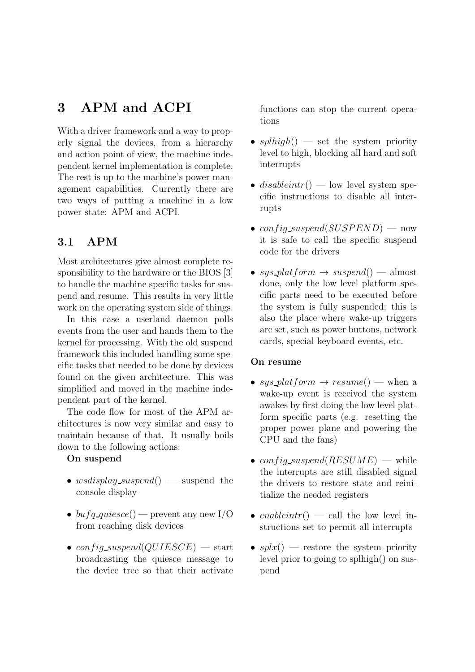# 3 APM and ACPI

With a driver framework and a way to properly signal the devices, from a hierarchy and action point of view, the machine independent kernel implementation is complete. The rest is up to the machine's power management capabilities. Currently there are two ways of putting a machine in a low power state: APM and ACPI.

### 3.1 APM

Most architectures give almost complete responsibility to the hardware or the BIOS [3] to handle the machine specific tasks for suspend and resume. This results in very little work on the operating system side of things.

In this case a userland daemon polls events from the user and hands them to the kernel for processing. With the old suspend framework this included handling some specific tasks that needed to be done by devices found on the given architecture. This was simplified and moved in the machine independent part of the kernel.

The code flow for most of the APM architectures is now very similar and easy to maintain because of that. It usually boils down to the following actions:

#### On suspend

- wsdisplay\_suspend() suspend the console display
- buf q\_quiesce() prevent any new I/O from reaching disk devices
- config\_suspend( $\text{QUIESCE}$ ) start broadcasting the quiesce message to the device tree so that their activate

functions can stop the current operations

- $splhigh()$  set the system priority level to high, blocking all hard and soft interrupts
- disable intr() low level system specific instructions to disable all interrupts
- config\_suspend( $SUSPEND$ ) now it is safe to call the specific suspend code for the drivers
- sys\_platform  $\rightarrow$  suspend() almost done, only the low level platform specific parts need to be executed before the system is fully suspended; this is also the place where wake-up triggers are set, such as power buttons, network cards, special keyboard events, etc.

#### On resume

- sys\_plat form  $\rightarrow$  resume() when a wake-up event is received the system awakes by first doing the low level platform specific parts (e.g. resetting the proper power plane and powering the CPU and the fans)
- config\_suspend( $RESUME$ ) while the interrupts are still disabled signal the drivers to restore state and reinitialize the needed registers
- enableintr() call the low level instructions set to permit all interrupts
- $splx()$  restore the system priority level prior to going to splhigh() on suspend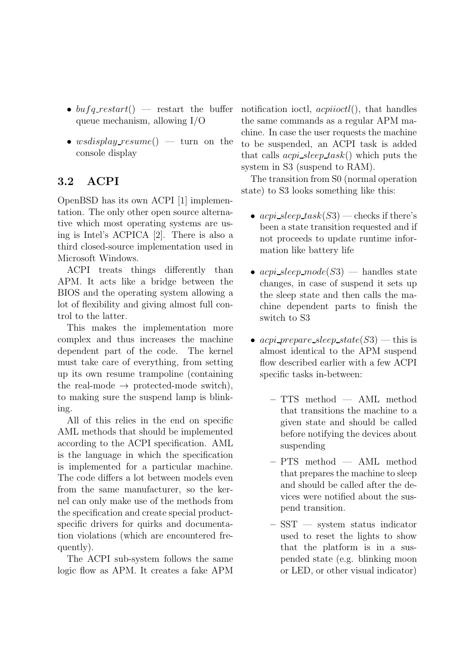- buf q\_restart() restart the buffer queue mechanism, allowing I/O
- wsdisplay\_resume() turn on the console display

### 3.2 ACPI

OpenBSD has its own ACPI [1] implementation. The only other open source alternative which most operating systems are using is Intel's ACPICA [2]. There is also a third closed-source implementation used in Microsoft Windows.

ACPI treats things differently than APM. It acts like a bridge between the BIOS and the operating system allowing a lot of flexibility and giving almost full control to the latter.

This makes the implementation more complex and thus increases the machine dependent part of the code. The kernel must take care of everything, from setting up its own resume trampoline (containing the real-mode  $\rightarrow$  protected-mode switch), to making sure the suspend lamp is blinking.

All of this relies in the end on specific AML methods that should be implemented according to the ACPI specification. AML is the language in which the specification is implemented for a particular machine. The code differs a lot between models even from the same manufacturer, so the kernel can only make use of the methods from the specification and create special productspecific drivers for quirks and documentation violations (which are encountered frequently).

The ACPI sub-system follows the same logic flow as APM. It creates a fake APM

notification ioctl, *acpiioctl*(), that handles the same commands as a regular APM machine. In case the user requests the machine to be suspended, an ACPI task is added that calls  $acpi\_sleep\_task()$  which puts the system in S3 (suspend to RAM).

The transition from S0 (normal operation state) to S3 looks something like this:

- $acpi\_sleep\_task(S3)$  checks if there's been a state transition requested and if not proceeds to update runtime information like battery life
- $acpi\_sleep\_mode(S3)$  handles state changes, in case of suspend it sets up the sleep state and then calls the machine dependent parts to finish the switch to S3
- acpi\_prepare\_sleep\_state( $S3$ ) this is almost identical to the APM suspend flow described earlier with a few ACPI specific tasks in-between:
	- TTS method AML method that transitions the machine to a given state and should be called before notifying the devices about suspending
	- PTS method AML method that prepares the machine to sleep and should be called after the devices were notified about the suspend transition.
	- SST system status indicator used to reset the lights to show that the platform is in a suspended state (e.g. blinking moon or LED, or other visual indicator)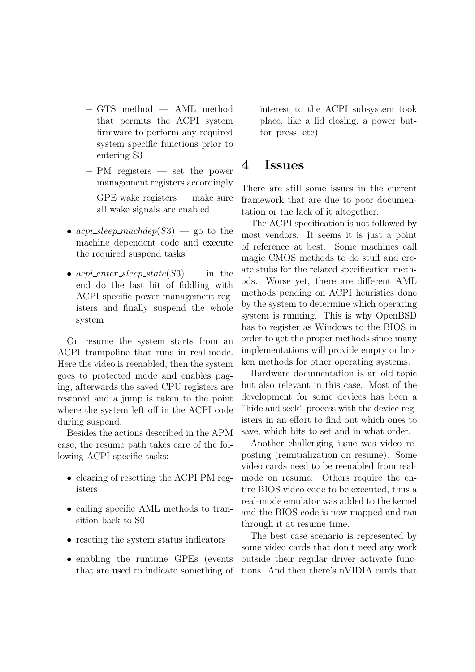- GTS method AML method that permits the ACPI system firmware to perform any required system specific functions prior to entering S3
- PM registers set the power management registers accordingly
- GPE wake registers make sure all wake signals are enabled
- $acpi\_sleep\_machdep(S3)$  go to the machine dependent code and execute the required suspend tasks
- acpi enter\_sleep\_state( $S3$ ) in the end do the last bit of fiddling with ACPI specific power management registers and finally suspend the whole system

On resume the system starts from an ACPI trampoline that runs in real-mode. Here the video is reenabled, then the system goes to protected mode and enables paging, afterwards the saved CPU registers are restored and a jump is taken to the point where the system left off in the ACPI code during suspend.

Besides the actions described in the APM case, the resume path takes care of the following ACPI specific tasks:

- clearing of resetting the ACPI PM registers
- calling specific AML methods to transition back to S0
- reseting the system status indicators
- enabling the runtime GPEs (events that are used to indicate something of

interest to the ACPI subsystem took place, like a lid closing, a power button press, etc)

### 4 Issues

There are still some issues in the current framework that are due to poor documentation or the lack of it altogether.

The ACPI specification is not followed by most vendors. It seems it is just a point of reference at best. Some machines call magic CMOS methods to do stuff and create stubs for the related specification methods. Worse yet, there are different AML methods pending on ACPI heuristics done by the system to determine which operating system is running. This is why OpenBSD has to register as Windows to the BIOS in order to get the proper methods since many implementations will provide empty or broken methods for other operating systems.

Hardware documentation is an old topic but also relevant in this case. Most of the development for some devices has been a "hide and seek" process with the device registers in an effort to find out which ones to save, which bits to set and in what order.

Another challenging issue was video reposting (reinitialization on resume). Some video cards need to be reenabled from realmode on resume. Others require the entire BIOS video code to be executed, thus a real-mode emulator was added to the kernel and the BIOS code is now mapped and ran through it at resume time.

The best case scenario is represented by some video cards that don't need any work outside their regular driver activate functions. And then there's nVIDIA cards that